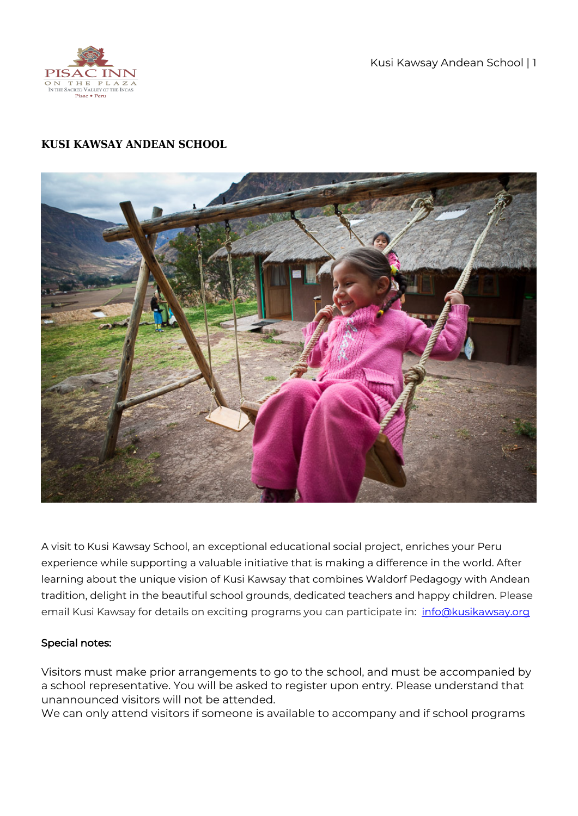

Kusi Kawsay Andean School | 1

## **KUSI KAWSAY ANDEAN SCHOOL**



A visit to Kusi Kawsay School, an exceptional educational social project, enriches your Peru experience while supporting a valuable initiative that is making a difference in the world. After learning about the unique vision of Kusi Kawsay that combines Waldorf Pedagogy with Andean tradition, delight in the beautiful school grounds, dedicated teachers and happy children. Please email Kusi Kawsay for details on exciting programs you can participate in: [info@kusikawsay.org](mailto:info@kusikawsay.org)

## Special notes:

Visitors must make prior arrangements to go to the school, and must be accompanied by a school representative. You will be asked to register upon entry. Please understand that unannounced visitors will not be attended.

We can only attend visitors if someone is available to accompany and if school programs